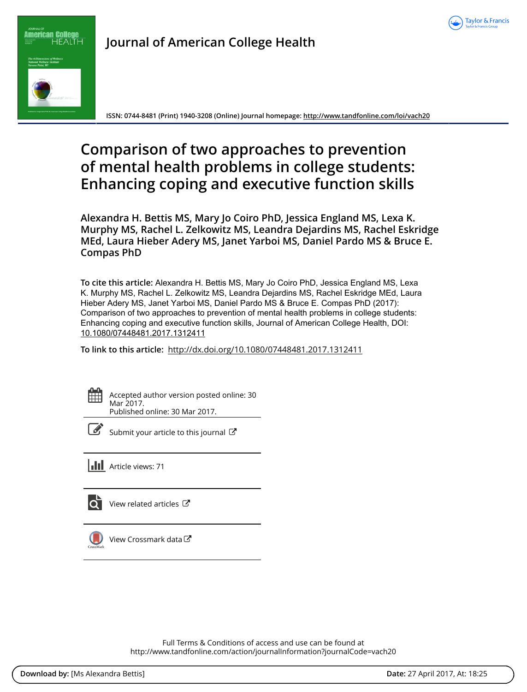



**ISSN: 0744-8481 (Print) 1940-3208 (Online) Journal homepage:<http://www.tandfonline.com/loi/vach20>**

# **Comparison of two approaches to prevention of mental health problems in college students: Enhancing coping and executive function skills**

**Alexandra H. Bettis MS, Mary Jo Coiro PhD, Jessica England MS, Lexa K. Murphy MS, Rachel L. Zelkowitz MS, Leandra Dejardins MS, Rachel Eskridge MEd, Laura Hieber Adery MS, Janet Yarboi MS, Daniel Pardo MS & Bruce E. Compas PhD**

**To cite this article:** Alexandra H. Bettis MS, Mary Jo Coiro PhD, Jessica England MS, Lexa K. Murphy MS, Rachel L. Zelkowitz MS, Leandra Dejardins MS, Rachel Eskridge MEd, Laura Hieber Adery MS, Janet Yarboi MS, Daniel Pardo MS & Bruce E. Compas PhD (2017): Comparison of two approaches to prevention of mental health problems in college students: Enhancing coping and executive function skills, Journal of American College Health, DOI: [10.1080/07448481.2017.1312411](http://www.tandfonline.com/action/showCitFormats?doi=10.1080/07448481.2017.1312411)

**To link to this article:** <http://dx.doi.org/10.1080/07448481.2017.1312411>

Accepted author version posted online: 30 Mar 2017. Published online: 30 Mar 2017.



[Submit your article to this journal](http://www.tandfonline.com/action/authorSubmission?journalCode=vach20&show=instructions)  $\mathbb{Z}$ 

**III** Article views: 71

[View related articles](http://www.tandfonline.com/doi/mlt/10.1080/07448481.2017.1312411)  $\mathbb{Z}$ 



[View Crossmark data](http://crossmark.crossref.org/dialog/?doi=10.1080/07448481.2017.1312411&domain=pdf&date_stamp=2017-03-30)

Full Terms & Conditions of access and use can be found at <http://www.tandfonline.com/action/journalInformation?journalCode=vach20>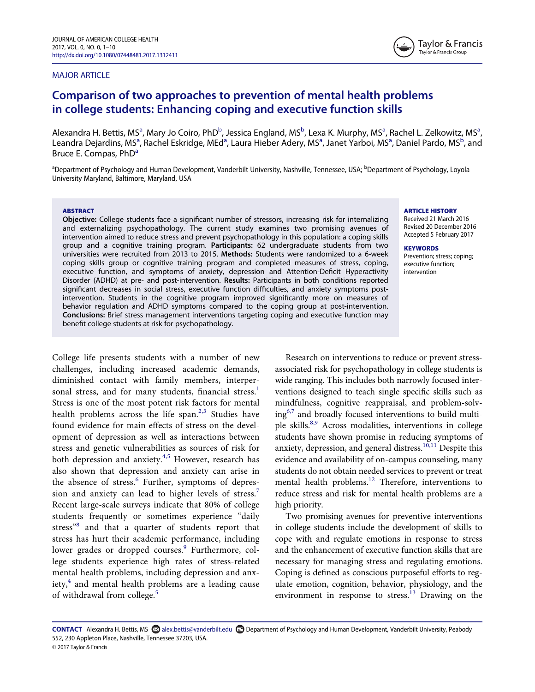### MAJOR ARTICLE



# Comparison of two approaches to prevention of mental health problems in college students: Enhancing coping and executive function skills

Alex[a](#page-1-0)ndra H. Bettis, MSª, Mary Jo Coiro, PhD<sup>[b](#page-1-0)</sup>, Jessica England, MS<sup>b</sup>, Lexa K. Murphy, MSª, Rachel L. Zelkowitz, MSª , Le[a](#page-1-0)ndra Dejardins, MS<sup>a</sup>, Rachel Eskridge, MEd<sup>a</sup>, Laura Hie[b](#page-1-0)er Adery, MS<sup>a</sup>, Janet Yarboi, MS<sup>a</sup>, Daniel Pardo, MS<sup>b</sup>, and Bruce E. Comp[a](#page-1-0)s, PhD<sup>a</sup>

<span id="page-1-0"></span><sup>a</sup>Department of Psychology and Human Development, Vanderbilt University, Nashville, Tennessee, USA; <sup>b</sup>Department of Psychology, Loyola University Maryland, Baltimore, Maryland, USA

### **ABSTRACT**

Objective: College students face a significant number of stressors, increasing risk for internalizing and externalizing psychopathology. The current study examines two promising avenues of intervention aimed to reduce stress and prevent psychopathology in this population: a coping skills group and a cognitive training program. Participants: 62 undergraduate students from two universities were recruited from 2013 to 2015. Methods: Students were randomized to a 6-week coping skills group or cognitive training program and completed measures of stress, coping, executive function, and symptoms of anxiety, depression and Attention-Deficit Hyperactivity Disorder (ADHD) at pre- and post-intervention. Results: Participants in both conditions reported significant decreases in social stress, executive function difficulties, and anxiety symptoms postintervention. Students in the cognitive program improved significantly more on measures of behavior regulation and ADHD symptoms compared to the coping group at post-intervention. Conclusions: Brief stress management interventions targeting coping and executive function may benefit college students at risk for psychopathology.

College life presents students with a number of new challenges, including increased academic demands, diminished contact with family members, interper-sonal stress, and for many students, financial stress.<sup>[1](#page-8-0)</sup> Stress is one of the most potent risk factors for mental health problems across the life span.<sup>[2,3](#page-8-1)</sup> Studies have found evidence for main effects of stress on the development of depression as well as interactions between stress and genetic vulnerabilities as sources of risk for both depression and anxiety.<sup>[4,5](#page-8-2)</sup> However, research has also shown that depression and anxiety can arise in the absence of stress.<sup>[6](#page-8-3)</sup> Further, symptoms of depres-sion and anxiety can lead to higher levels of stress.<sup>[7](#page-8-4)</sup> Recent large-scale surveys indicate that 80% of college students frequently or sometimes experience "daily stress"<sup>[8](#page-8-5)</sup> and that a quarter of students report that stress has hurt their academic performance, including lower grades or dropped courses.<sup>[9](#page-8-6)</sup> Furthermore, college students experience high rates of stress-related mental health problems, including depression and anxiety, $4$  and mental health problems are a leading cause of withdrawal from college.<sup>[5](#page-8-7)</sup>

Research on interventions to reduce or prevent stressassociated risk for psychopathology in college students is wide ranging. This includes both narrowly focused interventions designed to teach single specific skills such as mindfulness, cognitive reappraisal, and problem-solving[6,7](#page-8-3) and broadly focused interventions to build multi-ple skills.<sup>[8,9](#page-8-5)</sup> Across modalities, interventions in college students have shown promise in reducing symptoms of anxiety, depression, and general distress.<sup>[10,11](#page-8-8)</sup> Despite this evidence and availability of on-campus counseling, many students do not obtain needed services to prevent or treat mental health problems.<sup>[12](#page-8-9)</sup> Therefore, interventions to reduce stress and risk for mental health problems are a high priority.

Two promising avenues for preventive interventions in college students include the development of skills to cope with and regulate emotions in response to stress and the enhancement of executive function skills that are necessary for managing stress and regulating emotions. Coping is defined as conscious purposeful efforts to regulate emotion, cognition, behavior, physiology, and the environment in response to stress.<sup>[13](#page-8-10)</sup> Drawing on the

CONTACT Alexandra H. Bettis, MS [alex.bettis@vanderbilt.edu](mailto:alex.bettis@vanderbilt.edu) Department of Psychology and Human Development, Vanderbilt University, Peabody 552, 230 Appleton Place, Nashville, Tennessee 37203, USA. © 2017 Taylor & Francis

### ARTICLE HISTORY

Received 21 March 2016 Revised 20 December 2016 Accepted 5 February 2017

### **KEYWORDS**

Prevention; stress; coping; executive function; intervention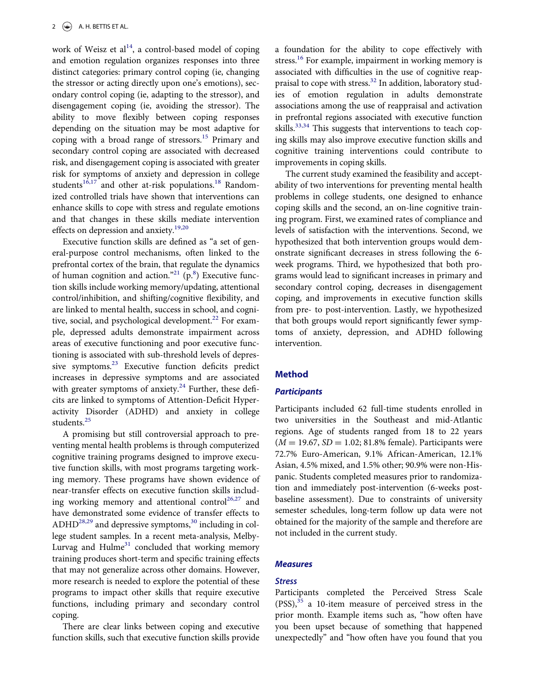work of Weisz et  $al^{14}$ , a control-based model of coping and emotion regulation organizes responses into three distinct categories: primary control coping (ie, changing the stressor or acting directly upon one's emotions), secondary control coping (ie, adapting to the stressor), and disengagement coping (ie, avoiding the stressor). The ability to move flexibly between coping responses depending on the situation may be most adaptive for coping with a broad range of stressors.<sup>[15](#page-8-12)</sup> Primary and secondary control coping are associated with decreased risk, and disengagement coping is associated with greater risk for symptoms of anxiety and depression in college students $16,17$  and other at-risk populations.<sup>[18](#page-8-14)</sup> Randomized controlled trials have shown that interventions can enhance skills to cope with stress and regulate emotions and that changes in these skills mediate intervention effects on depression and anxiety.<sup>[19,20](#page-8-15)</sup>

Executive function skills are defined as "a set of general-purpose control mechanisms, often linked to the prefrontal cortex of the brain, that regulate the dynamics of human cognition and action."<sup>[21](#page-9-0)</sup> ( $p$ .<sup>[8](#page-8-5)</sup>) Executive function skills include working memory/updating, attentional control/inhibition, and shifting/cognitive flexibility, and are linked to mental health, success in school, and cogni-tive, social, and psychological development.<sup>[22](#page-9-1)</sup> For example, depressed adults demonstrate impairment across areas of executive functioning and poor executive functioning is associated with sub-threshold levels of depres-sive symptoms.<sup>[23](#page-9-2)</sup> Executive function deficits predict increases in depressive symptoms and are associated with greater symptoms of anxiety. $^{24}$  $^{24}$  $^{24}$  Further, these deficits are linked to symptoms of Attention-Deficit Hyperactivity Disorder (ADHD) and anxiety in college students.<sup>[25](#page-9-4)</sup>

A promising but still controversial approach to preventing mental health problems is through computerized cognitive training programs designed to improve executive function skills, with most programs targeting working memory. These programs have shown evidence of near-transfer effects on executive function skills includ-ing working memory and attentional control<sup>[26,27](#page-9-5)</sup> and have demonstrated some evidence of transfer effects to  $ADHD^{28,29}$  and depressive symptoms,<sup>[30](#page-9-7)</sup> including in college student samples. In a recent meta-analysis, Melby-Lurvag and  $Hulme<sup>31</sup>$  concluded that working memory training produces short-term and specific training effects that may not generalize across other domains. However, more research is needed to explore the potential of these programs to impact other skills that require executive functions, including primary and secondary control coping.

There are clear links between coping and executive function skills, such that executive function skills provide

a foundation for the ability to cope effectively with stress.<sup>[16](#page-8-13)</sup> For example, impairment in working memory is associated with difficulties in the use of cognitive reap-praisal to cope with stress.<sup>[32](#page-9-9)</sup> In addition, laboratory studies of emotion regulation in adults demonstrate associations among the use of reappraisal and activation in prefrontal regions associated with executive function skills.<sup>[33,34](#page-9-10)</sup> This suggests that interventions to teach coping skills may also improve executive function skills and cognitive training interventions could contribute to improvements in coping skills.

The current study examined the feasibility and acceptability of two interventions for preventing mental health problems in college students, one designed to enhance coping skills and the second, an on-line cognitive training program. First, we examined rates of compliance and levels of satisfaction with the interventions. Second, we hypothesized that both intervention groups would demonstrate significant decreases in stress following the 6 week programs. Third, we hypothesized that both programs would lead to significant increases in primary and secondary control coping, decreases in disengagement coping, and improvements in executive function skills from pre- to post-intervention. Lastly, we hypothesized that both groups would report significantly fewer symptoms of anxiety, depression, and ADHD following intervention.

# Method

### **Participants**

Participants included 62 full-time students enrolled in two universities in the Southeast and mid-Atlantic regions. Age of students ranged from 18 to 22 years  $(M = 19.67, SD = 1.02; 81.8%$  female). Participants were 72.7% Euro-American, 9.1% African-American, 12.1% Asian, 4.5% mixed, and 1.5% other; 90.9% were non-Hispanic. Students completed measures prior to randomization and immediately post-intervention (6-weeks postbaseline assessment). Due to constraints of university semester schedules, long-term follow up data were not obtained for the majority of the sample and therefore are not included in the current study.

# **Measures**

### **Stress**

Participants completed the Perceived Stress Scale  $(PSS)$ ,<sup>[35](#page-9-11)</sup> a 10-item measure of perceived stress in the prior month. Example items such as, "how often have you been upset because of something that happened unexpectedly" and "how often have you found that you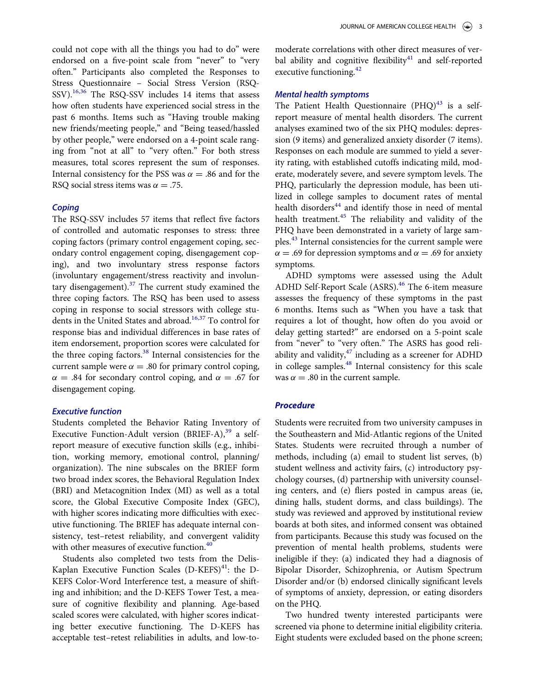could not cope with all the things you had to do" were endorsed on a five-point scale from "never" to "very often." Participants also completed the Responses to Stress Questionnaire – Social Stress Version (RSQ-SSV).<sup>[16,36](#page-8-13)</sup> The RSQ-SSV includes 14 items that assess how often students have experienced social stress in the past 6 months. Items such as "Having trouble making new friends/meeting people," and "Being teased/hassled by other people," were endorsed on a 4-point scale ranging from "not at all" to "very often." For both stress measures, total scores represent the sum of responses. Internal consistency for the PSS was  $\alpha = .86$  and for the RSQ social stress items was  $\alpha = .75$ .

The RSQ-SSV includes 57 items that reflect five factors of controlled and automatic responses to stress: three coping factors (primary control engagement coping, secondary control engagement coping, disengagement coping), and two involuntary stress response factors (involuntary engagement/stress reactivity and involuntary disengagement). $37$  The current study examined the three coping factors. The RSQ has been used to assess coping in response to social stressors with college students in the United States and abroad.<sup>16,37</sup> To control for response bias and individual differences in base rates of item endorsement, proportion scores were calculated for the three coping factors.<sup>[38](#page-9-13)</sup> Internal consistencies for the current sample were  $\alpha = .80$  for primary control coping,  $\alpha = .84$  for secondary control coping, and  $\alpha = .67$  for disengagement coping.

### **Executive function**

Executive function Students completed the Behavior Rating Inventory of Executive Function-Adult version (BRIEF-A),  $39$  a selfreport measure of executive function skills (e.g., inhibition, working memory, emotional control, planning/ organization). The nine subscales on the BRIEF form two broad index scores, the Behavioral Regulation Index (BRI) and Metacognition Index (MI) as well as a total score, the Global Executive Composite Index (GEC), with higher scores indicating more difficulties with executive functioning. The BRIEF has adequate internal consistency, test–retest reliability, and convergent validity with other measures of executive function.<sup>[40](#page-9-15)</sup>

Students also completed two tests from the Delis-Kaplan Executive Function Scales  $(D{\text -}K{\text{EFS}})^{41}$ : the D-KEFS Color-Word Interference test, a measure of shifting and inhibition; and the D-KEFS Tower Test, a measure of cognitive flexibility and planning. Age-based scaled scores were calculated, with higher scores indicating better executive functioning. The D-KEFS has acceptable test–retest reliabilities in adults, and low-tomoderate correlations with other direct measures of verbal ability and cognitive flexibility $41$  and self-reported executive functioning.<sup>[42](#page-9-17)</sup>

The Patient Health Questionnaire (PHQ)<sup>[43](#page-9-18)</sup> is a selfreport measure of mental health disorders. The current analyses examined two of the six PHQ modules: depression (9 items) and generalized anxiety disorder (7 items). Responses on each module are summed to yield a severity rating, with established cutoffs indicating mild, moderate, moderately severe, and severe symptom levels. The PHQ, particularly the depression module, has been utilized in college samples to document rates of mental health disorders<sup>[44](#page-9-19)</sup> and identify those in need of mental health treatment.<sup>[45](#page-9-20)</sup> The reliability and validity of the PHQ have been demonstrated in a variety of large samples.[43](#page-9-18) Internal consistencies for the current sample were  $\alpha = .69$  for depression symptoms and  $\alpha = .69$  for anxiety symptoms.

ADHD symptoms were assessed using the Adult ADHD Self-Report Scale (ASRS).<sup>[46](#page-9-21)</sup> The 6-item measure assesses the frequency of these symptoms in the past 6 months. Items such as "When you have a task that requires a lot of thought, how often do you avoid or delay getting started?" are endorsed on a 5-point scale from "never" to "very often." The ASRS has good reliability and validity[,47](#page-9-22) including as a screener for ADHD in college samples.[48](#page-9-23) Internal consistency for this scale was  $\alpha = .80$  in the current sample.

### Procedure

Students were recruited from two university campuses in the Southeastern and Mid-Atlantic regions of the United States. Students were recruited through a number of methods, including (a) email to student list serves, (b) student wellness and activity fairs, (c) introductory psychology courses, (d) partnership with university counseling centers, and (e) fliers posted in campus areas (ie, dining halls, student dorms, and class buildings). The study was reviewed and approved by institutional review boards at both sites, and informed consent was obtained from participants. Because this study was focused on the prevention of mental health problems, students were ineligible if they: (a) indicated they had a diagnosis of Bipolar Disorder, Schizophrenia, or Autism Spectrum Disorder and/or (b) endorsed clinically significant levels of symptoms of anxiety, depression, or eating disorders on the PHQ.

Two hundred twenty interested participants were screened via phone to determine initial eligibility criteria. Eight students were excluded based on the phone screen;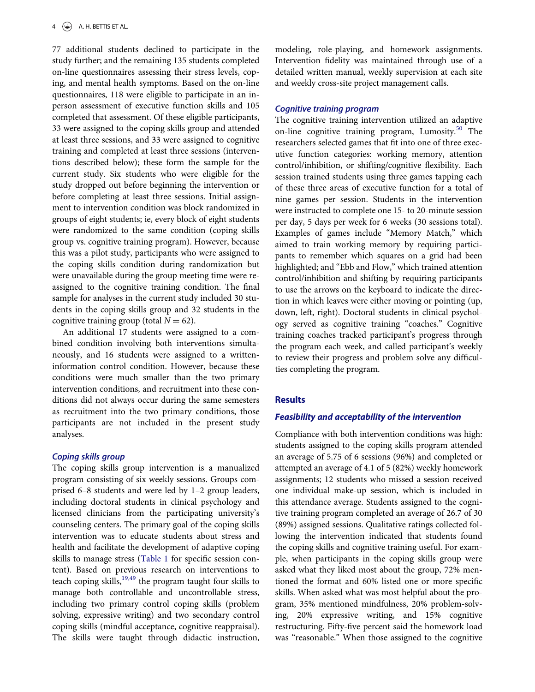77 additional students declined to participate in the study further; and the remaining 135 students completed on-line questionnaires assessing their stress levels, coping, and mental health symptoms. Based on the on-line questionnaires, 118 were eligible to participate in an inperson assessment of executive function skills and 105 completed that assessment. Of these eligible participants, 33 were assigned to the coping skills group and attended at least three sessions, and 33 were assigned to cognitive training and completed at least three sessions (interventions described below); these form the sample for the current study. Six students who were eligible for the study dropped out before beginning the intervention or before completing at least three sessions. Initial assignment to intervention condition was block randomized in groups of eight students; ie, every block of eight students were randomized to the same condition (coping skills group vs. cognitive training program). However, because this was a pilot study, participants who were assigned to the coping skills condition during randomization but were unavailable during the group meeting time were reassigned to the cognitive training condition. The final sample for analyses in the current study included 30 students in the coping skills group and 32 students in the cognitive training group (total  $N = 62$ ).

An additional 17 students were assigned to a combined condition involving both interventions simultaneously, and 16 students were assigned to a writteninformation control condition. However, because these conditions were much smaller than the two primary intervention conditions, and recruitment into these conditions did not always occur during the same semesters as recruitment into the two primary conditions, those participants are not included in the present study analyses.

Coping skills group The coping skills group intervention is a manualized program consisting of six weekly sessions. Groups comprised 6–8 students and were led by 1–2 group leaders, including doctoral students in clinical psychology and licensed clinicians from the participating university's counseling centers. The primary goal of the coping skills intervention was to educate students about stress and health and facilitate the development of adaptive coping skills to manage stress [\(Table 1](#page-5-0) for specific session content). Based on previous research on interventions to teach coping skills,<sup>19,49</sup> the program taught four skills to manage both controllable and uncontrollable stress, including two primary control coping skills (problem solving, expressive writing) and two secondary control coping skills (mindful acceptance, cognitive reappraisal). The skills were taught through didactic instruction,

modeling, role-playing, and homework assignments. Intervention fidelity was maintained through use of a detailed written manual, weekly supervision at each site and weekly cross-site project management calls.

Cognitive training program The cognitive training intervention utilized an adaptive on-line cognitive training program, Lumosity.<sup>[50](#page-10-0)</sup> The researchers selected games that fit into one of three executive function categories: working memory, attention control/inhibition, or shifting/cognitive flexibility. Each session trained students using three games tapping each of these three areas of executive function for a total of nine games per session. Students in the intervention were instructed to complete one 15- to 20-minute session per day, 5 days per week for 6 weeks (30 sessions total). Examples of games include "Memory Match," which aimed to train working memory by requiring participants to remember which squares on a grid had been highlighted; and "Ebb and Flow," which trained attention control/inhibition and shifting by requiring participants to use the arrows on the keyboard to indicate the direction in which leaves were either moving or pointing (up, down, left, right). Doctoral students in clinical psychology served as cognitive training "coaches." Cognitive training coaches tracked participant's progress through the program each week, and called participant's weekly to review their progress and problem solve any difficulties completing the program.

# **Results**

# Feasibility and acceptability of the intervention

Compliance with both intervention conditions was high: students assigned to the coping skills program attended an average of 5.75 of 6 sessions (96%) and completed or attempted an average of 4.1 of 5 (82%) weekly homework assignments; 12 students who missed a session received one individual make-up session, which is included in this attendance average. Students assigned to the cognitive training program completed an average of 26.7 of 30 (89%) assigned sessions. Qualitative ratings collected following the intervention indicated that students found the coping skills and cognitive training useful. For example, when participants in the coping skills group were asked what they liked most about the group, 72% mentioned the format and 60% listed one or more specific skills. When asked what was most helpful about the program, 35% mentioned mindfulness, 20% problem-solving, 20% expressive writing, and 15% cognitive restructuring. Fifty-five percent said the homework load was "reasonable." When those assigned to the cognitive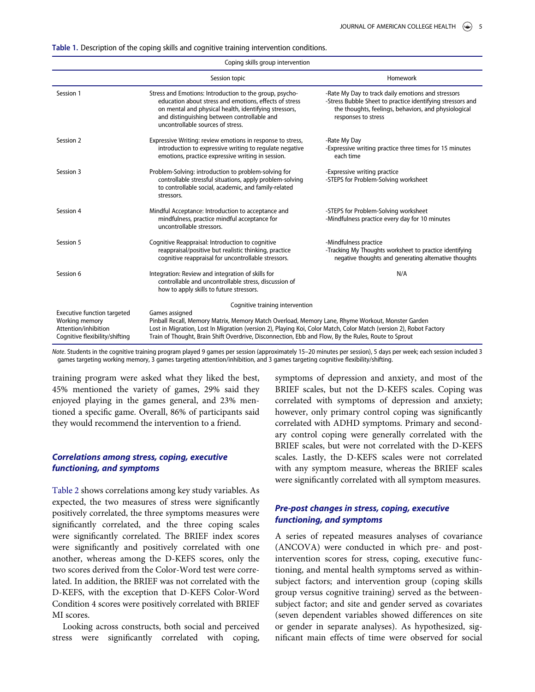Table 1. Description of the coping skills and cognitive training intervention conditions.

| Coping skills group intervention                                                                               |                                                                                                                                                                                                                                                                                                                                                 |                                                                                                                                                                                                 |  |  |  |  |  |
|----------------------------------------------------------------------------------------------------------------|-------------------------------------------------------------------------------------------------------------------------------------------------------------------------------------------------------------------------------------------------------------------------------------------------------------------------------------------------|-------------------------------------------------------------------------------------------------------------------------------------------------------------------------------------------------|--|--|--|--|--|
|                                                                                                                | Session topic                                                                                                                                                                                                                                                                                                                                   | Homework                                                                                                                                                                                        |  |  |  |  |  |
| Session 1                                                                                                      | Stress and Emotions: Introduction to the group, psycho-<br>education about stress and emotions, effects of stress<br>on mental and physical health, identifying stressors,<br>and distinguishing between controllable and<br>uncontrollable sources of stress.                                                                                  | -Rate My Day to track daily emotions and stressors<br>-Stress Bubble Sheet to practice identifying stressors and<br>the thoughts, feelings, behaviors, and physiological<br>responses to stress |  |  |  |  |  |
| Session 2                                                                                                      | Expressive Writing: review emotions in response to stress,<br>introduction to expressive writing to regulate negative<br>emotions, practice expressive writing in session.                                                                                                                                                                      | -Rate My Day<br>-Expressive writing practice three times for 15 minutes<br>each time                                                                                                            |  |  |  |  |  |
| Session 3                                                                                                      | Problem-Solving: introduction to problem-solving for<br>controllable stressful situations, apply problem-solving<br>to controllable social, academic, and family-related<br>stressors.                                                                                                                                                          | -Expressive writing practice<br>-STEPS for Problem-Solving worksheet                                                                                                                            |  |  |  |  |  |
| Session 4                                                                                                      | Mindful Acceptance: Introduction to acceptance and<br>mindfulness, practice mindful acceptance for<br>uncontrollable stressors.                                                                                                                                                                                                                 | -STEPS for Problem-Solving worksheet<br>-Mindfulness practice every day for 10 minutes                                                                                                          |  |  |  |  |  |
| Session 5                                                                                                      | Cognitive Reappraisal: Introduction to cognitive<br>reappraisal/positive but realistic thinking, practice<br>cognitive reappraisal for uncontrollable stressors.                                                                                                                                                                                | -Mindfulness practice<br>-Tracking My Thoughts worksheet to practice identifying<br>negative thoughts and generating alternative thoughts                                                       |  |  |  |  |  |
| Session 6                                                                                                      | Integration: Review and integration of skills for<br>controllable and uncontrollable stress, discussion of<br>how to apply skills to future stressors.                                                                                                                                                                                          | N/A                                                                                                                                                                                             |  |  |  |  |  |
|                                                                                                                | Cognitive training intervention                                                                                                                                                                                                                                                                                                                 |                                                                                                                                                                                                 |  |  |  |  |  |
| <b>Executive function targeted</b><br>Working memory<br>Attention/inhibition<br>Cognitive flexibility/shifting | Games assigned<br>Pinball Recall, Memory Matrix, Memory Match Overload, Memory Lane, Rhyme Workout, Monster Garden<br>Lost in Migration, Lost In Migration (version 2), Playing Koi, Color Match, Color Match (version 2), Robot Factory<br>Train of Thought, Brain Shift Overdrive, Disconnection, Ebb and Flow, By the Rules, Route to Sprout |                                                                                                                                                                                                 |  |  |  |  |  |

<span id="page-5-0"></span>Note. Students in the cognitive training program played 9 games per session (approximately 15–20 minutes per session), 5 days per week; each session included 3 games targeting working memory, 3 games targeting attention/inhibition, and 3 games targeting cognitive flexibility/shifting.

training program were asked what they liked the best, 45% mentioned the variety of games, 29% said they enjoyed playing in the games general, and 23% mentioned a specific game. Overall, 86% of participants said they would recommend the intervention to a friend.

# Correlations among stress, coping, executive functioning, and symptoms

[Table 2](#page-6-0) shows correlations among key study variables. As expected, the two measures of stress were significantly positively correlated, the three symptoms measures were significantly correlated, and the three coping scales were significantly correlated. The BRIEF index scores were significantly and positively correlated with one another, whereas among the D-KEFS scores, only the two scores derived from the Color-Word test were correlated. In addition, the BRIEF was not correlated with the D-KEFS, with the exception that D-KEFS Color-Word Condition 4 scores were positively correlated with BRIEF MI scores.

Looking across constructs, both social and perceived stress were significantly correlated with coping,

symptoms of depression and anxiety, and most of the BRIEF scales, but not the D-KEFS scales. Coping was correlated with symptoms of depression and anxiety; however, only primary control coping was significantly correlated with ADHD symptoms. Primary and secondary control coping were generally correlated with the BRIEF scales, but were not correlated with the D-KEFS scales. Lastly, the D-KEFS scales were not correlated with any symptom measure, whereas the BRIEF scales were significantly correlated with all symptom measures.

# Pre-post changes in stress, coping, executive functioning, and symptoms

A series of repeated measures analyses of covariance (ANCOVA) were conducted in which pre- and postintervention scores for stress, coping, executive functioning, and mental health symptoms served as withinsubject factors; and intervention group (coping skills group versus cognitive training) served as the betweensubject factor; and site and gender served as covariates (seven dependent variables showed differences on site or gender in separate analyses). As hypothesized, significant main effects of time were observed for social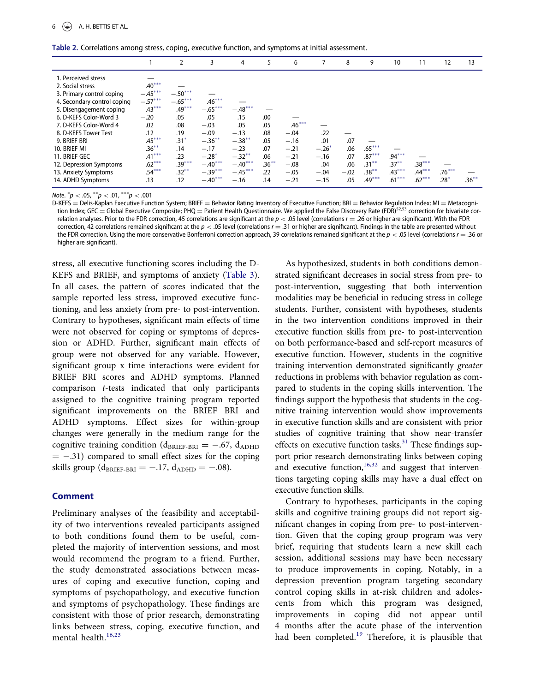|  |  |  |  | Table 2. Correlations among stress, coping, executive function, and symptoms at initial assessment. |  |  |  |  |
|--|--|--|--|-----------------------------------------------------------------------------------------------------|--|--|--|--|
|--|--|--|--|-----------------------------------------------------------------------------------------------------|--|--|--|--|

|                                         |           | $\overline{2}$ | 3         | 4         | 5        | 6        |                     | 8      | 9        | 10       | 11       | 12       | 13       |
|-----------------------------------------|-----------|----------------|-----------|-----------|----------|----------|---------------------|--------|----------|----------|----------|----------|----------|
| 1. Perceived stress<br>2. Social stress | $.40***$  |                |           |           |          |          |                     |        |          |          |          |          |          |
| 3. Primary control coping               | $-.45***$ | $-.50***$      |           |           |          |          |                     |        |          |          |          |          |          |
| 4. Secondary control coping             | $-.57***$ | $-.65***$      | $.46***$  |           |          |          |                     |        |          |          |          |          |          |
| 5. Disengagement coping                 | $.43***$  | $.49***$       | $-.65***$ | $-.48***$ |          |          |                     |        |          |          |          |          |          |
| 6. D-KEFS Color-Word 3                  | $-.20$    | .05            | .05       | .15       | .00      |          |                     |        |          |          |          |          |          |
| 7. D-KEFS Color-Word 4                  | .02       | .08            | $-.03$    | .05       | .05      | $.46***$ |                     |        |          |          |          |          |          |
| 8. D-KEFS Tower Test                    | .12       | .19            | $-.09$    | $-.13$    | .08      | $-.04$   | .22                 |        |          |          |          |          |          |
| 9. BRIEF BRI                            | $.45***$  | $.31*$         | $-.36***$ | $-.38***$ | .05      | $-.16$   | .01                 | .07    |          |          |          |          |          |
| 10. BRIEF MI                            | $.36***$  | .14            | $-.17$    | $-.23$    | .07      | $-.21$   | $-.26$ <sup>*</sup> | .06    | $.65***$ |          |          |          |          |
| 11. BRIEF GEC                           | $.41***$  | .23            | $-.28*$   | $-.32***$ | .06      | $-.21$   | $-.16$              | .07    | $.87***$ | $.94***$ |          |          |          |
| 12. Depression Symptoms                 | $.62***$  | $.39***$       | $-.40***$ | $-.40***$ | $.36***$ | $-.08$   | .04                 | .06    | $.31***$ | $.37***$ | $.38***$ |          |          |
| 13. Anxiety Symptoms                    | $.54***$  | $.32***$       | $-.39***$ | $-.45***$ | .22      | $-.05$   | $-.04$              | $-.02$ | $.38***$ | $.43***$ | $.44***$ | $.76***$ |          |
| 14. ADHD Symptoms                       | .13       | .12            | $-.40***$ | $-.16$    | .14      | $-.21$   | $-.15$              | .05    | $.49***$ | $.61***$ | $.62***$ | $.28*$   | $.36***$ |

<span id="page-6-0"></span>Note. \* $p < .05$ , \*\* $p < .01$ , \*\*\* $p < .001$ 

 $D$ -KEFS = Delis-Kaplan Executive Function System; BRIEF = Behavior Rating Inventory of Executive Function; BRI = Behavior Regulation Index; MI = Metacognition Index; GEC = Global Executive Composite; PHQ = Patient Health Questionnaire. We applied the False Discovery Rate (FDR)<sup>52,53</sup> correction for bivariate correlation analyses. Prior to the FDR correction, 45 correlations are significant at the  $p < .05$  level (correlations  $r = .26$  or higher are significant). With the FDR correction, 42 correlations remained significant at the  $p < .05$  level (correlations  $r = .31$  or higher are significant). Findings in the table are presented without the FDR correction. Using the more conservative Bonferroni correction approach, 39 correlations remained significant at the  $p < .05$  level (correlations  $r = .36$  or higher are significant).

stress, all executive functioning scores including the D-KEFS and BRIEF, and symptoms of anxiety ([Table 3](#page-7-0)). In all cases, the pattern of scores indicated that the sample reported less stress, improved executive functioning, and less anxiety from pre- to post-intervention. Contrary to hypotheses, significant main effects of time were not observed for coping or symptoms of depression or ADHD. Further, significant main effects of group were not observed for any variable. However, significant group x time interactions were evident for BRIEF BRI scores and ADHD symptoms. Planned comparison t-tests indicated that only participants assigned to the cognitive training program reported significant improvements on the BRIEF BRI and ADHD symptoms. Effect sizes for within-group changes were generally in the medium range for the cognitive training condition ( $d_{BRIEF-BRI} = -.67$ ,  $d_{ADHD}$  $=$  -.31) compared to small effect sizes for the coping skills group  $(d_{BRIEF-BRI} = -.17, d_{ADHD} = -.08)$ .

# Comment

Preliminary analyses of the feasibility and acceptability of two interventions revealed participants assigned to both conditions found them to be useful, completed the majority of intervention sessions, and most would recommend the program to a friend. Further, the study demonstrated associations between measures of coping and executive function, coping and symptoms of psychopathology, and executive function and symptoms of psychopathology. These findings are consistent with those of prior research, demonstrating links between stress, coping, executive function, and mental health.[16,23](#page-8-13)

As hypothesized, students in both conditions demonstrated significant decreases in social stress from pre- to post-intervention, suggesting that both intervention modalities may be beneficial in reducing stress in college students. Further, consistent with hypotheses, students in the two intervention conditions improved in their executive function skills from pre- to post-intervention on both performance-based and self-report measures of executive function. However, students in the cognitive training intervention demonstrated significantly greater reductions in problems with behavior regulation as compared to students in the coping skills intervention. The findings support the hypothesis that students in the cognitive training intervention would show improvements in executive function skills and are consistent with prior studies of cognitive training that show near-transfer effects on executive function tasks. $31$  These findings support prior research demonstrating links between coping and executive function, $16,32$  and suggest that interventions targeting coping skills may have a dual effect on executive function skills.

Contrary to hypotheses, participants in the coping skills and cognitive training groups did not report significant changes in coping from pre- to post-intervention. Given that the coping group program was very brief, requiring that students learn a new skill each session, additional sessions may have been necessary to produce improvements in coping. Notably, in a depression prevention program targeting secondary control coping skills in at-risk children and adolescents from which this program was designed, improvements in coping did not appear until 4 months after the acute phase of the intervention had been completed.<sup>[19](#page-8-15)</sup> Therefore, it is plausible that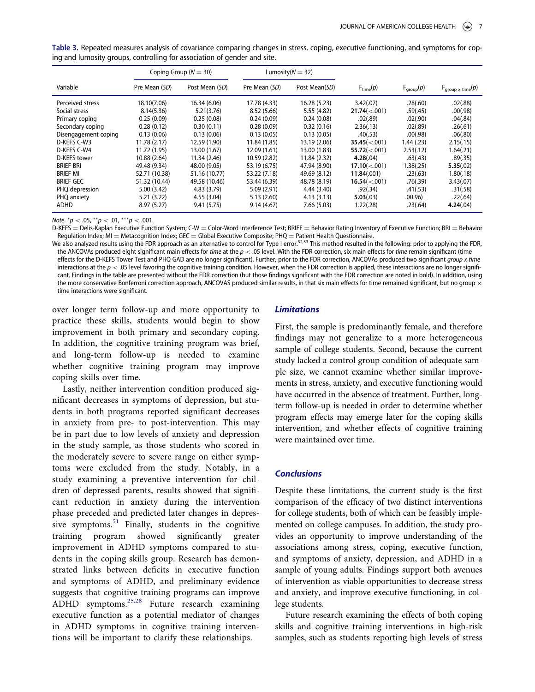|                      |               | Coping Group ( $N = 30$ ) |               | Lumosity( $N = 32$ ) |                      |                       |                                      |
|----------------------|---------------|---------------------------|---------------|----------------------|----------------------|-----------------------|--------------------------------------|
| Variable             | Pre Mean (SD) | Post Mean (SD)            | Pre Mean (SD) | Post Mean(SD)        | $F_{time}(p)$        | $F_{\text{group}}(p)$ | $F_{\text{group }x \text{ time}}(p)$ |
| Perceived stress     | 18.10(7.06)   | 16.34 (6.06)              | 17.78 (4.33)  | 16.28 (5.23)         | 3.42(.07)            | .28(.60)              | .02(.88)                             |
| Social stress        | 8.14(5.36)    | 5.21(3.76)                | 8.52 (5.66)   | 5.55 (4.82)          | $21.74 \times 0.001$ | .59(.45)              | .00(.98)                             |
| Primary coping       | 0.25(0.09)    | 0.25(0.08)                | 0.24(0.09)    | 0.24(0.08)           | .02(.89)             | .02(.90)              | .04(.84)                             |
| Secondary coping     | 0.28(0.12)    | 0.30(0.11)                | 0.28(0.09)    | 0.32(0.16)           | 2.36(.13)            | .02(.89)              | .26(.61)                             |
| Disengagement coping | 0.13(0.06)    | 0.13(0.06)                | 0.13(0.05)    | 0.13(0.05)           | .40(.53)             | .00(.98)              | .06(.80)                             |
| D-KEFS C-W3          | 11.78 (2.17)  | 12.59 (1.90)              | 11.84 (1.85)  | 13.19 (2.06)         | $35.45 \times 0.001$ | 1.44(0.23)            | 2.15(.15)                            |
| D-KEFS C-W4          | 11.72 (1.95)  | 13.00 (1.67)              | 12.09 (1.61)  | 13.00 (1.83)         | 55.72(< .001)        | 2.53(.12)             | 1.64(.21)                            |
| D-KEFS tower         | 10.88 (2.64)  | 11.34 (2.46)              | 10.59 (2.82)  | 11.84 (2.32)         | 4.28(.04)            | .63(.43)              | .89(.35)                             |
| <b>BRIEF BRI</b>     | 49.48 (9.34)  | 48.00 (9.05)              | 53.19 (6.75)  | 47.94 (8.90)         | 17.10(< .001)        | 1.38(.25)             | 5.35(.02)                            |
| <b>BRIEF MI</b>      | 52.71 (10.38) | 51.16 (10.77)             | 53.22 (7.18)  | 49.69 (8.12)         | 11.84(.001)          | .23(.63)              | 1.80(.18)                            |
| <b>BRIEF GEC</b>     | 51.32 (10.44) | 49.58 (10.46)             | 53.44 (6.39)  | 48.78 (8.19)         | $16.54 \times 0.001$ | .76(.39)              | 3.43(.07)                            |
| PHQ depression       | 5.00(3.42)    | 4.83(3.79)                | 5.09(2.91)    | 4.44(3.40)           | .92(.34)             | .41(.53)              | .31(.58)                             |
| PHQ anxiety          | 5.21(3.22)    | 4.55(3.04)                | 5.13(2.60)    | 4.13(3.13)           | 5.03(.03)            | .00.96)               | .22(.64)                             |
| ADHD                 | 8.97(5.27)    | 9.41(5.75)                | 9.14(4.67)    | 7.66(5.03)           | 1.22(.28)            | .23(.64)              | 4.24(.04)                            |

Table 3. Repeated measures analysis of covariance comparing changes in stress, coping, executive functioning, and symptoms for coping and lumosity groups, controlling for association of gender and site.

<span id="page-7-0"></span>Note. \* $p < .05$ , \*\* $p < .01$ , \*\*\* $p < .001$ .<br>D-KFFS = Delis-Kanlan Executive Func

 $D$ -KEFS = Delis-Kaplan Executive Function System; C-W = Color-Word Interference Test; BRIEF = Behavior Rating Inventory of Executive Function; BRI = Behavior

Regulation Index; MI = Metacognition Index; GEC = Global Executive Composite; PHQ = Patient Health Questionnaire.<br>We also analyzed results using the FDR approach as an alternative to control for Type I error.<sup>52,53</sup> This m the ANCOVAs produced eight significant main effects for time at the  $p < .05$  level. With the FDR correction, six main effects for time remain significant (time effects for the D-KEFS Tower Test and PHQ GAD are no longer significant). Further, prior to the FDR correction, ANCOVAs produced two significant group x time interactions at the  $p < .05$  level favoring the cognitive training condition. However, when the FDR correction is applied, these interactions are no longer significant. Findings in the table are presented without the FDR correction (but those findings significant with the FDR correction are noted in bold). In addition, using the more conservative Bonferroni correction approach, ANCOVAS produced similar results, in that six main effects for time remained significant, but no group  $\times$ time interactions were significant.

over longer term follow-up and more opportunity to practice these skills, students would begin to show improvement in both primary and secondary coping. In addition, the cognitive training program was brief, and long-term follow-up is needed to examine whether cognitive training program may improve coping skills over time.

Lastly, neither intervention condition produced significant decreases in symptoms of depression, but students in both programs reported significant decreases in anxiety from pre- to post-intervention. This may be in part due to low levels of anxiety and depression in the study sample, as those students who scored in the moderately severe to severe range on either symptoms were excluded from the study. Notably, in a study examining a preventive intervention for children of depressed parents, results showed that significant reduction in anxiety during the intervention phase preceded and predicted later changes in depressive symptoms. $51$  Finally, students in the cognitive training program showed significantly greater improvement in ADHD symptoms compared to students in the coping skills group. Research has demonstrated links between deficits in executive function and symptoms of ADHD, and preliminary evidence suggests that cognitive training programs can improve ADHD symptoms.[25,28](#page-9-4) Future research examining executive function as a potential mediator of changes in ADHD symptoms in cognitive training interventions will be important to clarify these relationships.

# **Limitations**

First, the sample is predominantly female, and therefore findings may not generalize to a more heterogeneous sample of college students. Second, because the current study lacked a control group condition of adequate sample size, we cannot examine whether similar improvements in stress, anxiety, and executive functioning would have occurred in the absence of treatment. Further, longterm follow-up is needed in order to determine whether program effects may emerge later for the coping skills intervention, and whether effects of cognitive training were maintained over time.

### **Conclusions**

Despite these limitations, the current study is the first comparison of the efficacy of two distinct interventions for college students, both of which can be feasibly implemented on college campuses. In addition, the study provides an opportunity to improve understanding of the associations among stress, coping, executive function, and symptoms of anxiety, depression, and ADHD in a sample of young adults. Findings support both avenues of intervention as viable opportunities to decrease stress and anxiety, and improve executive functioning, in college students.

Future research examining the effects of both coping skills and cognitive training interventions in high-risk samples, such as students reporting high levels of stress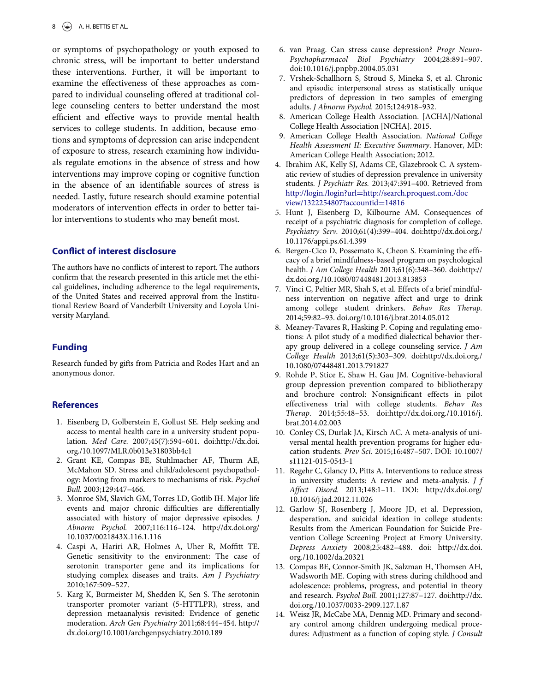<span id="page-8-6"></span><span id="page-8-5"></span><span id="page-8-4"></span><span id="page-8-3"></span>or symptoms of psychopathology or youth exposed to chronic stress, will be important to better understand these interventions. Further, it will be important to examine the effectiveness of these approaches as compared to individual counseling offered at traditional college counseling centers to better understand the most efficient and effective ways to provide mental health services to college students. In addition, because emotions and symptoms of depression can arise independent of exposure to stress, research examining how individuals regulate emotions in the absence of stress and how interventions may improve coping or cognitive function in the absence of an identifiable sources of stress is needed. Lastly, future research should examine potential moderators of intervention effects in order to better tailor interventions to students who may benefit most.

# <span id="page-8-9"></span><span id="page-8-8"></span>Conflict of interest disclosure

<span id="page-8-10"></span>The authors have no conflicts of interest to report. The authors confirm that the research presented in this article met the ethical guidelines, including adherence to the legal requirements, of the United States and received approval from the Institutional Review Board of Vanderbilt University and Loyola University Maryland.

### <span id="page-8-11"></span>Funding

<span id="page-8-12"></span>Research funded by gifts from Patricia and Rodes Hart and an anonymous donor.

# <span id="page-8-0"></span>**References**

- <span id="page-8-13"></span>1. Eisenberg D, Golberstein E, Gollust SE. Help seeking and access to mental health care in a university student population. Med Care. 2007;45(7):594–601. doi:http://dx.doi. org.[/10.1097/MLR.0b013e31803bb4c1](http://dx.doi.org/10.1097/MLR.0b013e31803bb4c1)
- <span id="page-8-1"></span>2. Grant KE, Compas BE, Stuhlmacher AF, Thurm AE, McMahon SD. Stress and child/adolescent psychopathology: Moving from markers to mechanisms of risk. Psychol Bull. 2003;129:447–466.
- <span id="page-8-14"></span>3. Monroe SM, Slavich GM, Torres LD, Gotlib IH. Major life events and major chronic difficulties are differentially associated with history of major depressive episodes. J Abnorm Psychol. 2007;116:116–124. http://dx.doi.org/ [10.1037/0021843X.116.1.116](http://dx.doi.org/10.1037/0021843X.116.1.116)
- <span id="page-8-15"></span><span id="page-8-2"></span>4. Caspi A, Hariri AR, Holmes A, Uher R, Moffitt TE. Genetic sensitivity to the environment: The case of serotonin transporter gene and its implications for studying complex diseases and traits. Am J Psychiatry 2010;167:509–527.
- <span id="page-8-7"></span>5. Karg K, Burmeister M, Shedden K, Sen S. The serotonin transporter promoter variant (5-HTTLPR), stress, and depression metaanalysis revisited: Evidence of genetic moderation. Arch Gen Psychiatry 2011;68:444–454. http:// dx.doi.org/[10.1001/archgenpsychiatry.2010.189](http://dx.doi.org/10.1001/archgenpsychiatry.2010.189)
- 6. van Praag. Can stress cause depression? Progr Neuro-Psychopharmacol Biol Psychiatry 2004;28:891–907. doi[:10.1016/j.pnpbp.2004.05.031](http://dx.doi.org/10.1016/j.pnpbp.2004.05.031)
- 7. Vrshek-Schallhorn S, Stroud S, Mineka S, et al. Chronic and episodic interpersonal stress as statistically unique predictors of depression in two samples of emerging adults. J Abnorm Psychol. 2015;124:918–932.
- 8. American College Health Association. [ACHA]/National College Health Association [NCHA]. 2015.
- 9. American College Health Association. National College Health Assessment II: Executive Summary. Hanover, MD: American College Health Association; 2012.
- 4. Ibrahim AK, Kelly SJ, Adams CE, Glazebrook C. A systematic review of studies of depression prevalence in university students. J Psychiatr Res. 2013;47:391–400. Retrieved from [http://login./login?url](http://login./login?url=http://search.proquest.com./docview/1322254807?accountid=14816)=[http://search.proquest.com./doc](http://login./login?url=http://search.proquest.com./docview/1322254807?accountid=14816) [view/1322254807?accountid](http://login./login?url=http://search.proquest.com./docview/1322254807?accountid=14816)=[14816](http://login./login?url=http://search.proquest.com./docview/1322254807?accountid=14816)
- 5. Hunt J, Eisenberg D, Kilbourne AM. Consequences of receipt of a psychiatric diagnosis for completion of college. Psychiatry Serv. 2010;61(4):399–404. doi:http://dx.doi.org./ [10.1176/appi.ps.61.4.399](http://dx.doi.org/10.1176/appi.ps.61.4.399)
- 6. Bergen-Cico D, Possemato K, Cheon S. Examining the efficacy of a brief mindfulness-based program on psychological health. J Am College Health 2013;61(6):348–360. doi:http:// dx.doi.org.[/10.1080/07448481.2013.813853](http://dx.doi.org/10.1080/07448481.2013.813853)
- 7. Vinci C, Peltier MR, Shah S, et al. Effects of a brief mindfulness intervention on negative affect and urge to drink among college student drinkers. Behav Res Therap. 2014;59:82–93. doi.org[/10.1016/j.brat.2014.05.012](http://dx.doi.org/10.1016/j.brat.2014.05.012)
- 8. Meaney-Tavares R, Hasking P. Coping and regulating emotions: A pilot study of a modified dialectical behavior therapy group delivered in a college counseling service. J Am College Health 2013;61(5):303–309. doi:http://dx.doi.org./ [10.1080/07448481.2013.791827](http://dx.doi.org/10.1080/07448481.2013.791827)
- 9. Rohde P, Stice E, Shaw H, Gau JM. Cognitive-behavioral group depression prevention compared to bibliotherapy and brochure control: Nonsignificant effects in pilot effectiveness trial with college students. Behav Res Therap. 2014;55:48–53. doi:http://dx.doi.org./[10.1016/j.](http://dx.doi.org/10.1016/j.brat.2014.02.003) [brat.2014.02.003](http://dx.doi.org/10.1016/j.brat.2014.02.003)
- 10. Conley CS, Durlak JA, Kirsch AC. A meta-analysis of universal mental health prevention programs for higher education students. Prev Sci. 2015;16:487–507. DOI: [10.1007/](http://dx.doi.org/10.1007/s11121-015-0543-1) [s11121-015-0543-1](http://dx.doi.org/10.1007/s11121-015-0543-1)
- 11. Regehr C, Glancy D, Pitts A. Interventions to reduce stress in university students: A review and meta-analysis.  $J f$ Affect Disord. 2013;148:1–11. DOI: http://dx.doi.org/ [10.1016/j.jad.2012.11.026](http://dx.doi.org/10.1016/j.jad.2012.11.026)
- 12. Garlow SJ, Rosenberg J, Moore JD, et al. Depression, desperation, and suicidal ideation in college students: Results from the American Foundation for Suicide Prevention College Screening Project at Emory University. Depress Anxiety 2008;25:482–488. doi: http://dx.doi. org./[10.1002/da.20321](http://dx.doi.org/10.1002/da.20321)
- 13. Compas BE, Connor-Smith JK, Salzman H, Thomsen AH, Wadsworth ME. Coping with stress during childhood and adolescence: problems, progress, and potential in theory and research. Psychol Bull. 2001;127:87–127. doi:http://dx. doi.org.[/10.1037/0033-2909.127.1.87](http://dx.doi.org/10.1037/0033-2909.127.1.87)
- 14. Weisz JR, McCabe MA, Dennig MD. Primary and secondary control among children undergoing medical procedures: Adjustment as a function of coping style. J Consult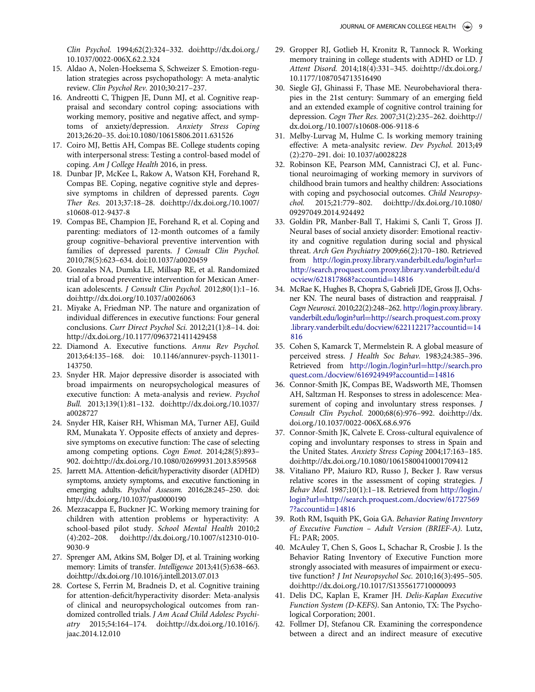Clin Psychol. 1994;62(2):324–332. doi:http://dx.doi.org./ [10.1037/0022-006X.62.2.324](http://dx.doi.org/10.1037/0022-006X.62.2.324)

- <span id="page-9-11"></span><span id="page-9-0"></span>15. Aldao A, Nolen-Hoeksema S, Schweizer S. Emotion-regulation strategies across psychopathology: A meta-analytic review. Clin Psychol Rev. 2010;30:217–237.
- <span id="page-9-1"></span>16. Andreotti C, Thigpen JE, Dunn MJ, et al. Cognitive reappraisal and secondary control coping: associations with working memory, positive and negative affect, and symptoms of anxiety/depression. Anxiety Stress Coping 2013;26:20–35. doi[:10.1080/10615806.2011.631526](http://dx.doi.org/10.1080/10615806.2011.631526)
- <span id="page-9-12"></span><span id="page-9-2"></span>17. Coiro MJ, Bettis AH, Compas BE. College students coping with interpersonal stress: Testing a control-based model of coping. Am J College Health 2016, in press.
- <span id="page-9-13"></span><span id="page-9-3"></span>18. Dunbar JP, McKee L, Rakow A, Watson KH, Forehand R, Compas BE. Coping, negative cognitive style and depressive symptoms in children of depressed parents. Cogn Ther Res. 2013;37:18–28. doi:http://dx.doi.org./[10.1007/](http://dx.doi.org/10.1007/s10608-012-9437-8) [s10608-012-9437-8](http://dx.doi.org/10.1007/s10608-012-9437-8)
- <span id="page-9-14"></span><span id="page-9-4"></span>19. Compas BE, Champion JE, Forehand R, et al. Coping and parenting: mediators of 12-month outcomes of a family group cognitive–behavioral preventive intervention with families of depressed parents. J Consult Clin Psychol. 2010;78(5):623–634. doi[:10.1037/a0020459](http://dx.doi.org/10.1037/a0020459)
- <span id="page-9-15"></span><span id="page-9-5"></span>20. Gonzales NA, Dumka LE, Millsap RE, et al. Randomized trial of a broad preventive intervention for Mexican American adolescents. J Consult Clin Psychol. 2012;80(1):1–16. doi:http://dx.doi.org/[10.1037/a0026063](http://dx.doi.org/10.1037/a0026063)
- 21. Miyake A, Friedman NP. The nature and organization of individual differences in executive functions: Four general conclusions. Curr Direct Psychol Sci. 2012;21(1):8–14. doi: http://dx.doi.org.[/10.1177/0963721411429458](http://dx.doi.org/10.1177/0963721411429458)
- <span id="page-9-16"></span><span id="page-9-6"></span>22. Diamond A. Executive functions. Annu Rev Psychol. 2013;64:135–168. doi: [10.1146/annurev-psych-113011-](http://dx.doi.org/10.1146/annurev-psych-113011-143750) [143750.](http://dx.doi.org/10.1146/annurev-psych-113011-143750)
- <span id="page-9-17"></span>23. Snyder HR. Major depressive disorder is associated with broad impairments on neuropsychological measures of executive function: A meta-analysis and review. Psychol Bull. 2013;139(1):81–132. doi:http://dx.doi.org./[10.1037/](http://dx.doi.org/10.1037/a0028727) [a0028727](http://dx.doi.org/10.1037/a0028727)
- <span id="page-9-18"></span><span id="page-9-7"></span>24. Snyder HR, Kaiser RH, Whisman MA, Turner AEJ, Guild RM, Munakata Y. Opposite effects of anxiety and depressive symptoms on executive function: The case of selecting among competing options. Cogn Emot. 2014;28(5):893– 902. doi:http://dx.doi.org./[10.1080/02699931.2013.859568](http://dx.doi.org/10.1080/02699931.2013.859568)
- <span id="page-9-19"></span><span id="page-9-8"></span>25. Jarrett MA. Attention-deficit/hyperactivity disorder (ADHD) symptoms, anxiety symptoms, and executive functioning in emerging adults. Psychol Assessm. 2016;28:245–250. doi: http://dx.doi.org./[10.1037/pas0000190](http://dx.doi.org/10.1037/pas0000190)
- <span id="page-9-20"></span><span id="page-9-9"></span>26. Mezzacappa E, Buckner JC. Working memory training for children with attention problems or hyperactivity: A school-based pilot study. School Mental Health 2010;2 (4):202–208. doi:http://dx.doi.org.[/10.1007/s12310-010-](http://dx.doi.org/10.1007/s12310-010-9030-9) [9030-9](http://dx.doi.org/10.1007/s12310-010-9030-9)
- <span id="page-9-21"></span><span id="page-9-10"></span>27. Sprenger AM, Atkins SM, Bolger DJ, et al. Training working memory: Limits of transfer. Intelligence 2013;41(5):638–663. doi:http://dx.doi.org [/10.1016/j.intell.2013.07.013](http://dx.doi.org/10.1016/j.intell.2013.07.013)
- <span id="page-9-23"></span><span id="page-9-22"></span>28. Cortese S, Ferrin M, Bradneis D, et al. Cognitive training for attention-deficit/hyperactivity disorder: Meta-analysis of clinical and neuropsychological outcomes from randomized controlled trials. J Am Acad Child Adolesc Psychiatry 2015;54:164–174. doi:http://dx.doi.org.[/10.1016/j.](http://dx.doi.org/10.1016/j.jaac.2014.12.010) [jaac.2014.12.010](http://dx.doi.org/10.1016/j.jaac.2014.12.010)
- 29. Gropper RJ, Gotlieb H, Kronitz R, Tannock R. Working memory training in college students with ADHD or LD. J Attent Disord. 2014;18(4):331–345. doi:http://dx.doi.org./ [10.1177/1087054713516490](http://dx.doi.org/10.1177/1087054713516490)
- 30. Siegle GJ, Ghinassi F, Thase ME. Neurobehavioral therapies in the 21st century: Summary of an emerging field and an extended example of cognitive control training for depression. Cogn Ther Res. 2007;31(2):235–262. doi:http:// dx.doi.org./[10.1007/s10608-006-9118-6](http://dx.doi.org/10.1007/s10608-006-9118-6)
- 31. Melby-Lurvag M, Hulme C. Is working memory training effective: A meta-analysitc review. Dev Psychol. 2013;49 (2):270–291. doi: [10.1037/a0028228](http://dx.doi.org/10.1037/a0028228)
- 32. Robinson KE, Pearson MM, Cannistraci CJ, et al. Functional neuroimaging of working memory in survivors of childhood brain tumors and healthy children: Associations with coping and psychosocial outcomes. Child Neuropsychol. 2015;21:779–802. doi:http://dx.doi.org./[10.1080/](http://dx.doi.org/10.1080/09297049.2014.924492) [09297049.2014.924492](http://dx.doi.org/10.1080/09297049.2014.924492)
- 33. Goldin PR, Manber-Ball T, Hakimi S, Canli T, Gross JJ. Neural bases of social anxiety disorder: Emotional reactivity and cognitive regulation during social and physical threat. Arch Gen Psychiatry 2009;66(2):170–180. Retrieved from [http://login.proxy.library.vanderbilt.edu/login](http://login.proxy.library.vanderbilt.edu/login?url=http://search.proquest.com.proxy.library.vanderbilt.edu/docview/621817868?accountid=14816)?[url](http://login.proxy.library.vanderbilt.edu/login?url=http://search.proquest.com.proxy.library.vanderbilt.edu/docview/621817868?accountid=14816)= [http://search.proquest.com.proxy.library.vanderbilt.edu/d](http://search.proquest.com.proxy.library.vanderbilt.edu/docview/621817868?accountid=14816) [ocview/621817868](http://search.proquest.com.proxy.library.vanderbilt.edu/docview/621817868?accountid=14816)?[accountid](http://search.proquest.com.proxy.library.vanderbilt.edu/docview/621817868?accountid=14816)=[14816](http://search.proquest.com.proxy.library.vanderbilt.edu/docview/621817868?accountid=14816)
- 34. McRae K, Hughes B, Chopra S, Gabrieli JDE, Gross JJ, Ochsner KN. The neural bases of distraction and reappraisal. J Cogn Neurosci. 2010;22(2):248–262. [http://login.proxy.library.](http://login.proxy.library.vanderbilt.edu/login?url=http://search.proquest.com.proxy.library.vanderbilt.edu/docview/622112217?accountid=14816) [vanderbilt.edu/login?url](http://login.proxy.library.vanderbilt.edu/login?url=http://search.proquest.com.proxy.library.vanderbilt.edu/docview/622112217?accountid=14816)=[http://search.proquest.com.proxy](http://search.proquest.com.proxy.library.vanderbilt.edu/docview/622112217?accountid=14816) [.library.vanderbilt.edu/docview/622112217?accountid](http://search.proquest.com.proxy.library.vanderbilt.edu/docview/622112217?accountid=14816)=[14](http://search.proquest.com.proxy.library.vanderbilt.edu/docview/622112217?accountid=14816) [816](http://search.proquest.com.proxy.library.vanderbilt.edu/docview/622112217?accountid=14816)
- 35. Cohen S, Kamarck T, Mermelstein R. A global measure of perceived stress. J Health Soc Behav. 1983;24:385–396. Retrieved from [http://login./login?url](http://login./login?url=http://search.proquest.com./docview/616924949?accountid=14816)=[http://search.pro](http://login./login?url=http://search.proquest.com./docview/616924949?accountid=14816) [quest.com./docview/616924949?accountid](http://login./login?url=http://search.proquest.com./docview/616924949?accountid=14816)=[14816](http://login./login?url=http://search.proquest.com./docview/616924949?accountid=14816)
- 36. Connor-Smith JK, Compas BE, Wadsworth ME, Thomsen AH, Saltzman H. Responses to stress in adolescence: Measurement of coping and involuntary stress responses. J Consult Clin Psychol. 2000;68(6):976–992. doi:http://dx. doi.org.[/10.1037/0022-006X.68.6.976](http://dx.doi.org/10.1037/0022-006X.68.6.976)
- 37. Connor-Smith JK, Calvete E. Cross-cultural equivalence of coping and involuntary responses to stress in Spain and the United States. Anxiety Stress Coping 2004;17:163–185. doi:http://dx.doi.org./[10.1080/10615800410001709412](http://dx.doi.org/10.1080/10615800410001709412)
- 38. Vitaliano PP, Maiuro RD, Russo J, Becker J. Raw versus relative scores in the assessment of coping strategies. J Behav Med. 1987;10(1):1–18. Retrieved from [http://login./](http://login./login?url=http://search.proquest.com./docview/617275697?accountid=14816) [login?url](http://login./login?url=http://search.proquest.com./docview/617275697?accountid=14816)=[http://search.proquest.com./docview/61727569](http://login./login?url=http://search.proquest.com./docview/617275697?accountid=14816) [7](http://login./login?url=http://search.proquest.com./docview/617275697?accountid=14816)?[accountid](http://login./login?url=http://search.proquest.com./docview/617275697?accountid=14816)=[14816](http://login./login?url=http://search.proquest.com./docview/617275697?accountid=14816)
- 39. Roth RM, Isquith PK, Goia GA. Behavior Rating Inventory of Executive Function – Adult Version (BRIEF-A). Lutz, FL: PAR; 2005.
- 40. McAuley T, Chen S, Goos L, Schachar R, Crosbie J. Is the Behavior Rating Inventory of Executive Function more strongly associated with measures of impairment or executive function? J Int Neuropsychol Soc. 2010;16(3):495–505. doi:http://dx.doi.org./[10.1017/S1355617710000093](http://dx.doi.org/10.1017/S1355617710000093)
- 41. Delis DC, Kaplan E, Kramer JH. Delis-Kaplan Executive Function System (D-KEFS). San Antonio, TX: The Psychological Corporation; 2001.
- 42. Follmer DJ, Stefanou CR. Examining the correspondence between a direct and an indirect measure of executive